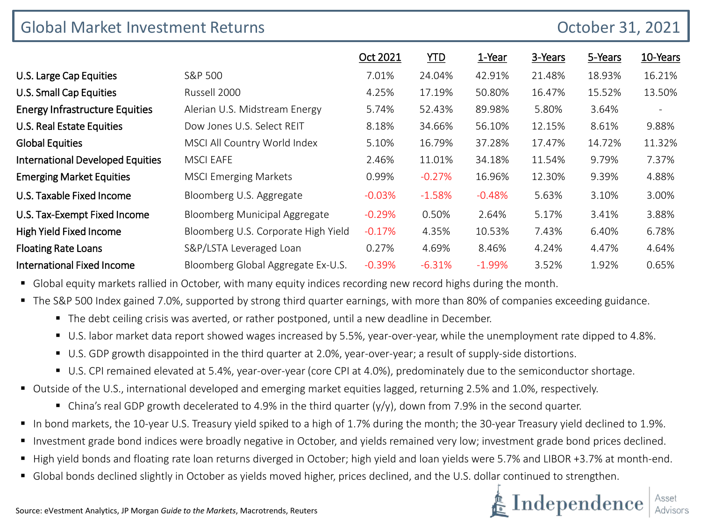| <b>Global Market Investment Returns</b><br>October 31, 2021 |                                     |           |            |           |         |         |                          |
|-------------------------------------------------------------|-------------------------------------|-----------|------------|-----------|---------|---------|--------------------------|
|                                                             |                                     | Oct 2021  | <u>YTD</u> | 1-Year    | 3-Years | 5-Years | 10-Years                 |
| U.S. Large Cap Equities                                     | S&P 500                             | 7.01%     | 24.04%     | 42.91%    | 21.48%  | 18.93%  | 16.21%                   |
| <b>U.S. Small Cap Equities</b>                              | Russell 2000                        | 4.25%     | 17.19%     | 50.80%    | 16.47%  | 15.52%  | 13.50%                   |
| <b>Energy Infrastructure Equities</b>                       | Alerian U.S. Midstream Energy       | 5.74%     | 52.43%     | 89.98%    | 5.80%   | 3.64%   | $\overline{\phantom{a}}$ |
| <b>U.S. Real Estate Equities</b>                            | Dow Jones U.S. Select REIT          | 8.18%     | 34.66%     | 56.10%    | 12.15%  | 8.61%   | 9.88%                    |
| <b>Global Equities</b>                                      | MSCI All Country World Index        | 5.10%     | 16.79%     | 37.28%    | 17.47%  | 14.72%  | 11.32%                   |
| <b>International Developed Equities</b>                     | <b>MSCI EAFE</b>                    | 2.46%     | 11.01%     | 34.18%    | 11.54%  | 9.79%   | 7.37%                    |
| <b>Emerging Market Equities</b>                             | <b>MSCI Emerging Markets</b>        | 0.99%     | $-0.27%$   | 16.96%    | 12.30%  | 9.39%   | 4.88%                    |
| U.S. Taxable Fixed Income                                   | Bloomberg U.S. Aggregate            | $-0.03\%$ | $-1.58%$   | $-0.48\%$ | 5.63%   | 3.10%   | 3.00%                    |
| U.S. Tax-Exempt Fixed Income                                | Bloomberg Municipal Aggregate       | $-0.29%$  | 0.50%      | 2.64%     | 5.17%   | 3.41%   | 3.88%                    |
| High Yield Fixed Income                                     | Bloomberg U.S. Corporate High Yield | $-0.17%$  | 4.35%      | 10.53%    | 7.43%   | 6.40%   | 6.78%                    |
| <b>Floating Rate Loans</b>                                  | S&P/LSTA Leveraged Loan             | 0.27%     | 4.69%      | 8.46%     | 4.24%   | 4.47%   | 4.64%                    |
| <b>International Fixed Income</b>                           | Bloomberg Global Aggregate Ex-U.S.  | $-0.39%$  | $-6.31%$   | $-1.99\%$ | 3.52%   | 1.92%   | 0.65%                    |

Global equity markets rallied in October, with many equity indices recording new record highs during the month.

The S&P 500 Index gained 7.0%, supported by strong third quarter earnings, with more than 80% of companies exceeding guidance.

- The debt ceiling crisis was averted, or rather postponed, until a new deadline in December.
- U.S. labor market data report showed wages increased by 5.5%, year-over-year, while the unemployment rate dipped to 4.8%.
- U.S. GDP growth disappointed in the third quarter at 2.0%, year-over-year; a result of supply-side distortions.
- U.S. CPI remained elevated at 5.4%, year-over-year (core CPI at 4.0%), predominately due to the semiconductor shortage.
- Outside of the U.S., international developed and emerging market equities lagged, returning 2.5% and 1.0%, respectively.
	- China's real GDP growth decelerated to 4.9% in the third quarter  $(y/y)$ , down from 7.9% in the second quarter.
- In bond markets, the 10-year U.S. Treasury yield spiked to a high of 1.7% during the month; the 30-year Treasury yield declined to 1.9%.
- Investment grade bond indices were broadly negative in October, and yields remained very low; investment grade bond prices declined.
- High yield bonds and floating rate loan returns diverged in October; high yield and loan yields were 5.7% and LIBOR +3.7% at month-end.
- Global bonds declined slightly in October as yields moved higher, prices declined, and the U.S. dollar continued to strengthen.

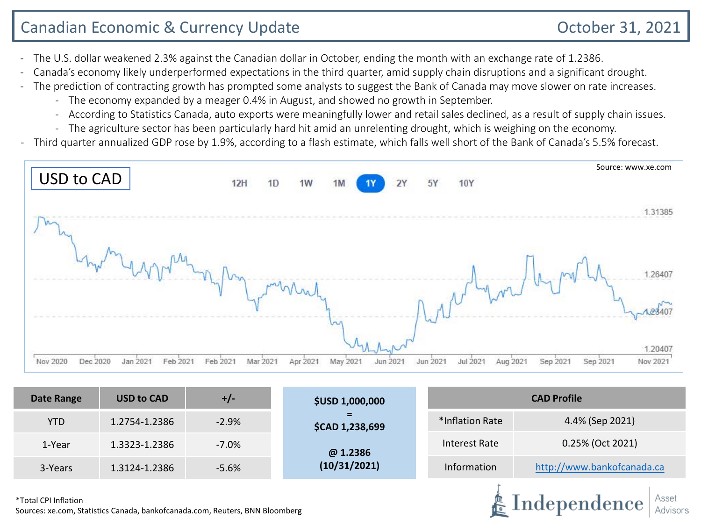Independence

- The U.S. dollar weakened 2.3% against the Canadian dollar in October, ending the month with an exchange rate of 1.2386.
- Canada's economy likely underperformed expectations in the third quarter, amid supply chain disruptions and a significant drought.
- The prediction of contracting growth has prompted some analysts to suggest the Bank of Canada may move slower on rate increases.
	- The economy expanded by a meager 0.4% in August, and showed no growth in September.
	- According to Statistics Canada, auto exports were meaningfully lower and retail sales declined, as a result of supply chain issues.
	- The agriculture sector has been particularly hard hit amid an unrelenting drought, which is weighing on the economy.
- Third quarter annualized GDP rose by 1.9%, according to a flash estimate, which falls well short of the Bank of Canada's 5.5% forecast.



| Date Range | <b>USD to CAD</b> | $+/-$    | <b>\$USD 1,000,000</b>      | <b>CAD Profile</b> |                                                |  |  |
|------------|-------------------|----------|-----------------------------|--------------------|------------------------------------------------|--|--|
| <b>YTD</b> | 1.2754-1.2386     | $-2.9%$  | =<br><b>\$CAD 1,238,699</b> | *Inflation Rate    | 4.4% (Sep 2021)                                |  |  |
| 1-Year     | 1.3323-1.2386     | $-7.0\%$ | @ 1.2386                    | Interest Rate      | 0.25% (Oct 2021)<br>http://www.bankofcanada.ca |  |  |
| 3-Years    | 1.3124-1.2386     | $-5.6%$  | (10/31/2021)                | Information        |                                                |  |  |
|            |                   |          |                             |                    |                                                |  |  |

\*Total CPI Inflation Sources: xe.com, Statistics Canada, bankofcanada.com, Reuters, BNN Bloomberg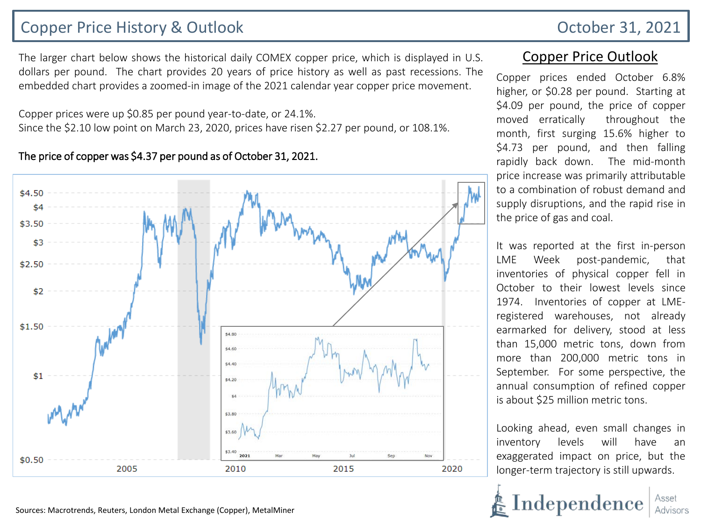# Copper Price History & Outlook **Copper Price History & Outlook** October 31, 2021

The larger chart below shows the historical daily COMEX copper price, which is displayed in U.S. dollars per pound. The chart provides 20 years of price history as well as past recessions. The embedded chart provides a zoomed-in image of the 2021 calendar year copper price movement.

Copper prices were up \$0.85 per pound year-to-date, or 24.1%. Since the \$2.10 low point on March 23, 2020, prices have risen \$2.27 per pound, or 108.1%.

#### \$4.50 \$4 \$3.50 \$3  $$2.50$ \$2  $$1.50$ \$4.80 \$4.60 \$4.40  $$1$ \$4.20 \$3.80 \$3.60 \$3.40 2021 \$0.50 2005 2010 2015 2020

### The price of copper was \$4.37 per pound as of October 31, 2021.

Sources: Macrotrends, Reuters, London Metal Exchange (Copper), MetalMiner

## Copper Price Outlook

Copper prices ended October 6.8% higher, or \$0.28 per pound. Starting at \$4.09 per pound, the price of copper moved erratically throughout the month, first surging 15.6% higher to \$4.73 per pound, and then falling rapidly back down. The mid-month price increase was primarily attributable to a combination of robust demand and supply disruptions, and the rapid rise in the price of gas and coal.

It was reported at the first in-person LME Week post-pandemic, that inventories of physical copper fell in October to their lowest levels since 1974. Inventories of copper at LMEregistered warehouses, not already earmarked for delivery, stood at less than 15,000 metric tons, down from more than 200,000 metric tons in September. For some perspective, the annual consumption of refined copper is about \$25 million metric tons.

Looking ahead, even small changes in inventory levels will have an exaggerated impact on price, but the longer-term trajectory is still upwards.